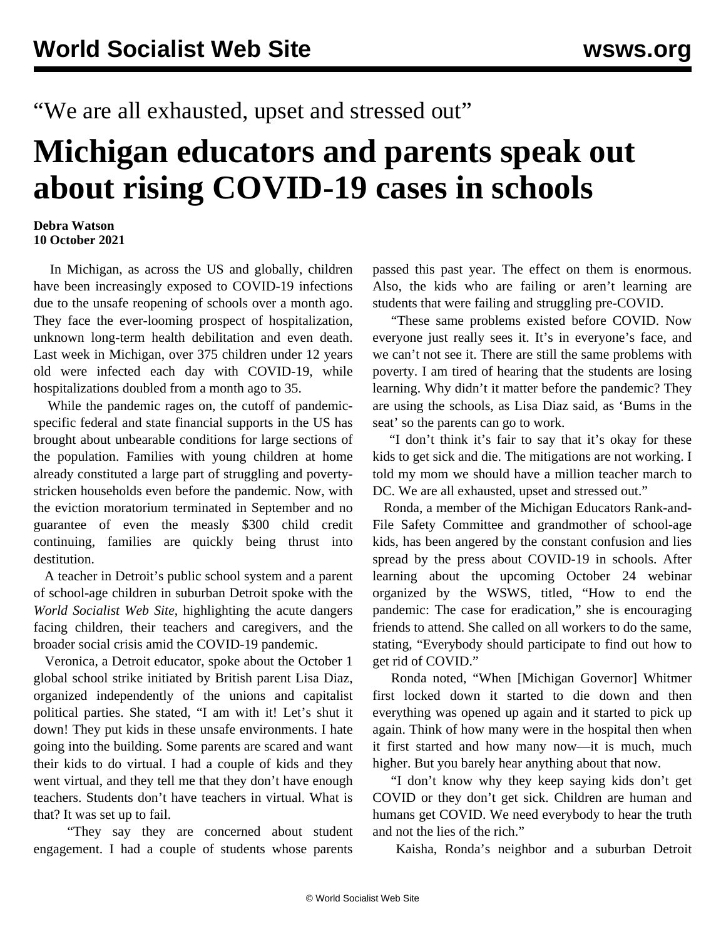## "We are all exhausted, upset and stressed out"

## **Michigan educators and parents speak out about rising COVID-19 cases in schools**

## **Debra Watson 10 October 2021**

 In Michigan, as across the US and globally, children have been increasingly exposed to COVID-19 infections due to the unsafe reopening of schools over a month ago. They face the ever-looming prospect of hospitalization, unknown long-term health debilitation and even death. Last week in Michigan, [over 375 children](/en/articles/2021/10/09/mic1-o09.html) under 12 years old were infected each day with COVID-19, while hospitalizations doubled from a month ago to 35.

 While the pandemic rages on, the cutoff of pandemicspecific federal and state financial supports in the US has brought about unbearable conditions for large sections of the population. Families with young children at home already constituted a large part of struggling and povertystricken households even before the pandemic. Now, with the eviction moratorium terminated in September and no guarantee of even the measly \$300 child credit continuing, families are quickly being thrust into destitution.

 A teacher in Detroit's public school system and a parent of school-age children in suburban Detroit spoke with the *World Socialist Web Site*, highlighting the acute dangers facing children, their teachers and caregivers, and the broader social crisis amid the COVID-19 pandemic.

 Veronica, a Detroit educator, spoke about the [October 1](/en/articles/2021/10/02/octo-o02.html) [global school strike](/en/articles/2021/10/02/octo-o02.html) initiated by British parent Lisa Diaz, organized independently of the unions and capitalist political parties. She stated, "I am with it! Let's shut it down! They put kids in these unsafe environments. I hate going into the building. Some parents are scared and want their kids to do virtual. I had a couple of kids and they went virtual, and they tell me that they don't have enough teachers. Students don't have teachers in virtual. What is that? It was set up to fail.

 "They say they are concerned about student engagement. I had a couple of students whose parents passed this past year. The effect on them is enormous. Also, the kids who are failing or aren't learning are students that were failing and struggling pre-COVID.

 "These same problems existed before COVID. Now everyone just really sees it. It's in everyone's face, and we can't not see it. There are still the same problems with poverty. I am tired of hearing that the students are losing learning. Why didn't it matter before the pandemic? They are using the schools, as Lisa Diaz said, as 'Bums in the seat' so the parents can go to work.

 "I don't think it's fair to say that it's okay for these kids to get sick and die. The mitigations are not working. I told my mom we should have a million teacher march to DC. We are all exhausted, upset and stressed out."

 Ronda, a member of the Michigan Educators Rank-and-File Safety Committee and grandmother of school-age kids, has been angered by the constant confusion and lies spread by the press about COVID-19 in schools. After learning about the upcoming October 24 [webinar](/en/special/pages/how-to-end-the-pandemic.html) organized by the WSWS, titled, "How to end the pandemic: The case for eradication," she is encouraging friends to attend. She called on all workers to do the same, stating, "Everybody should participate to find out how to get rid of COVID."

 Ronda noted, "When [Michigan Governor] Whitmer first locked down it started to die down and then everything was opened up again and it started to pick up again. Think of how many were in the hospital then when it first started and how many now—it is much, much higher. But you barely hear anything about that now.

 "I don't know why they keep saying kids don't get COVID or they don't get sick. Children are human and humans get COVID. We need everybody to hear the truth and not the lies of the rich."

Kaisha, Ronda's neighbor and a suburban Detroit